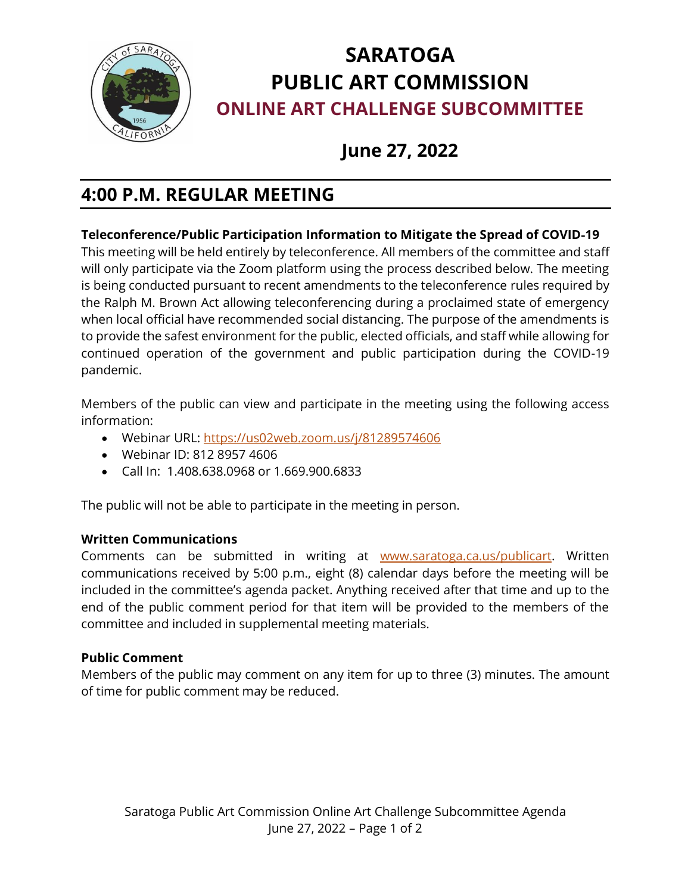

# **SARATOGA PUBLIC ART COMMISSION ONLINE ART CHALLENGE SUBCOMMITTEE**

# **June 27, 2022**

# **4:00 P.M. REGULAR MEETING**

## **Teleconference/Public Participation Information to Mitigate the Spread of COVID**‐**19**

This meeting will be held entirely by teleconference. All members of the committee and staff will only participate via the Zoom platform using the process described below. The meeting is being conducted pursuant to recent amendments to the teleconference rules required by the Ralph M. Brown Act allowing teleconferencing during a proclaimed state of emergency when local official have recommended social distancing. The purpose of the amendments is to provide the safest environment for the public, elected officials, and staff while allowing for continued operation of the government and public participation during the COVID-19 pandemic.

Members of the public can view and participate in the meeting using the following access information:

- Webinar URL:<https://us02web.zoom.us/j/81289574606>
- Webinar ID: 812 8957 4606
- Call In: 1.408.638.0968 or 1.669.900.6833

The public will not be able to participate in the meeting in person.

### **Written Communications**

Comments can be submitted in writing at [www.saratoga.ca.us/publicart.](http://www.saratoga.ca.us/publicart) Written communications received by 5:00 p.m., eight (8) calendar days before the meeting will be included in the committee's agenda packet. Anything received after that time and up to the end of the public comment period for that item will be provided to the members of the committee and included in supplemental meeting materials.

### **Public Comment**

Members of the public may comment on any item for up to three (3) minutes. The amount of time for public comment may be reduced.